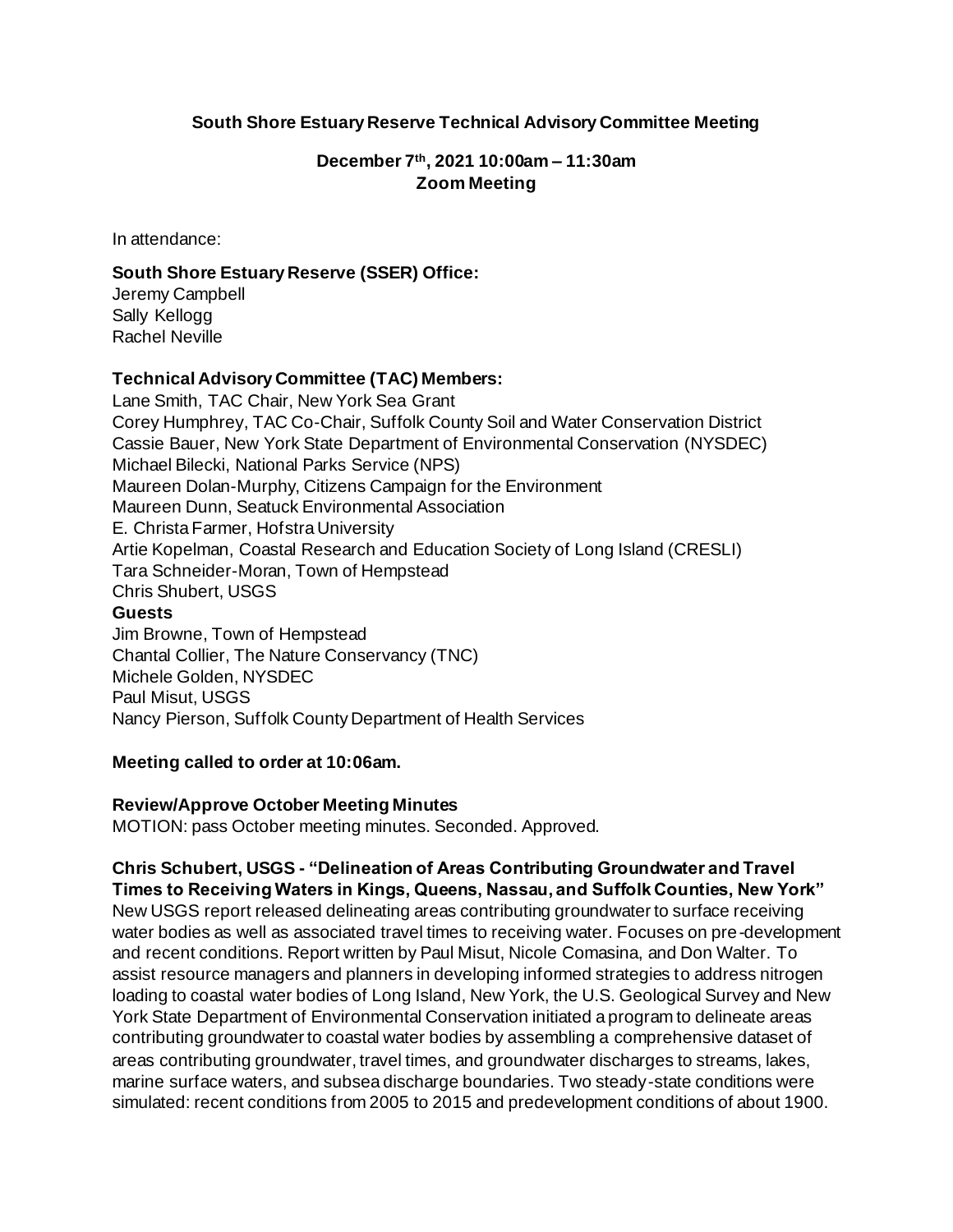### **South Shore Estuary Reserve Technical Advisory Committee Meeting**

### **December 7th, 2021 10:00am – 11:30am Zoom Meeting**

In attendance:

### **South Shore Estuary Reserve (SSER) Office:**

Jeremy Campbell Sally Kellogg Rachel Neville

### **Technical Advisory Committee (TAC) Members:**

Lane Smith, TAC Chair, New York Sea Grant Corey Humphrey, TAC Co-Chair, Suffolk County Soil and Water Conservation District Cassie Bauer, New York State Department of Environmental Conservation (NYSDEC) Michael Bilecki, National Parks Service (NPS) Maureen Dolan-Murphy, Citizens Campaign for the Environment Maureen Dunn, Seatuck Environmental Association E. Christa Farmer, Hofstra University Artie Kopelman, Coastal Research and Education Society of Long Island (CRESLI) Tara Schneider-Moran, Town of Hempstead Chris Shubert, USGS **Guests** Jim Browne, Town of Hempstead Chantal Collier, The Nature Conservancy (TNC) Michele Golden, NYSDEC Paul Misut, USGS Nancy Pierson, Suffolk County Department of Health Services

#### **Meeting called to order at 10:06am.**

#### **Review/Approve October Meeting Minutes**

MOTION: pass October meeting minutes. Seconded. Approved.

#### **Chris Schubert, USGS - "Delineation of Areas Contributing Groundwater and Travel Times to Receiving Waters in Kings, Queens, Nassau, and Suffolk Counties, New York"**

New USGS report released delineating areas contributing groundwater to surface receiving water bodies as well as associated travel times to receiving water. Focuses on pre-development and recent conditions. Report written by Paul Misut, Nicole Comasina, and Don Walter. To assist resource managers and planners in developing informed strategies to address nitrogen loading to coastal water bodies of Long Island, New York, the U.S. Geological Survey and New York State Department of Environmental Conservation initiated a program to delineate areas contributing groundwater to coastal water bodies by assembling a comprehensive dataset of areas contributing groundwater, travel times, and groundwater discharges to streams, lakes, marine surface waters, and subsea discharge boundaries. Two steady-state conditions were simulated: recent conditions from 2005 to 2015 and predevelopment conditions of about 1900.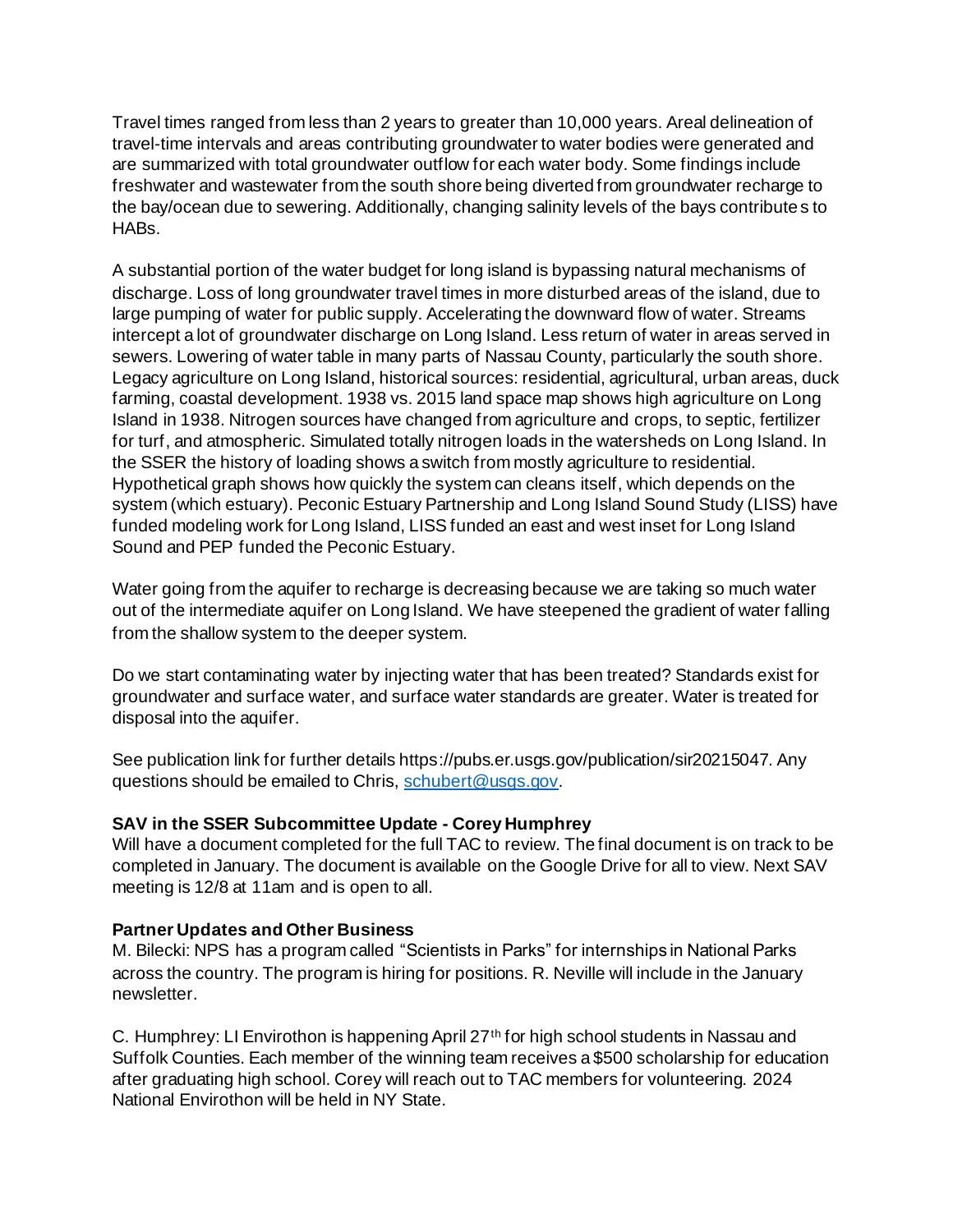Travel times ranged from less than 2 years to greater than 10,000 years. Areal delineation of travel-time intervals and areas contributing groundwater to water bodies were generated and are summarized with total groundwater outflow for each water body. Some findings include freshwater and wastewater from the south shore being diverted from groundwater recharge to the bay/ocean due to sewering. Additionally, changing salinity levels of the bays contributes to HABs.

A substantial portion of the water budget for long island is bypassing natural mechanisms of discharge. Loss of long groundwater travel times in more disturbed areas of the island, due to large pumping of water for public supply. Accelerating the downward flow of water. Streams intercept a lot of groundwater discharge on Long Island. Less return of water in areas served in sewers. Lowering of water table in many parts of Nassau County, particularly the south shore. Legacy agriculture on Long Island, historical sources: residential, agricultural, urban areas, duck farming, coastal development. 1938 vs. 2015 land space map shows high agriculture on Long Island in 1938. Nitrogen sources have changed from agriculture and crops, to septic, fertilizer for turf, and atmospheric. Simulated totally nitrogen loads in the watersheds on Long Island. In the SSER the history of loading shows a switch from mostly agriculture to residential. Hypothetical graph shows how quickly the system can cleans itself, which depends on the system (which estuary). Peconic Estuary Partnership and Long Island Sound Study (LISS) have funded modeling work for Long Island, LISS funded an east and west inset for Long Island Sound and PEP funded the Peconic Estuary.

Water going from the aquifer to recharge is decreasing because we are taking so much water out of the intermediate aquifer on Long Island. We have steepened the gradient of water falling from the shallow system to the deeper system.

Do we start contaminating water by injecting water that has been treated? Standards exist for groundwater and surface water, and surface water standards are greater. Water is treated for disposal into the aquifer.

See publication link for further details https://pubs.er.usgs.gov/publication/sir20215047. Any questions should be emailed to Chris[, schubert@usgs.gov](mailto:schubert@usgs.gov).

## **SAV in the SSER Subcommittee Update - Corey Humphrey**

Will have a document completed for the full TAC to review. The final document is on track to be completed in January. The document is available on the Google Drive for all to view. Next SAV meeting is 12/8 at 11am and is open to all.

## **Partner Updates and Other Business**

M. Bilecki: NPS has a program called "Scientists in Parks" for internships in National Parks across the country. The program is hiring for positions. R. Neville will include in the January newsletter.

C. Humphrey: LI Envirothon is happening April 27<sup>th</sup> for high school students in Nassau and Suffolk Counties. Each member of the winning team receives a \$500 scholarship for education after graduating high school. Corey will reach out to TAC members for volunteering. 2024 National Envirothon will be held in NY State.